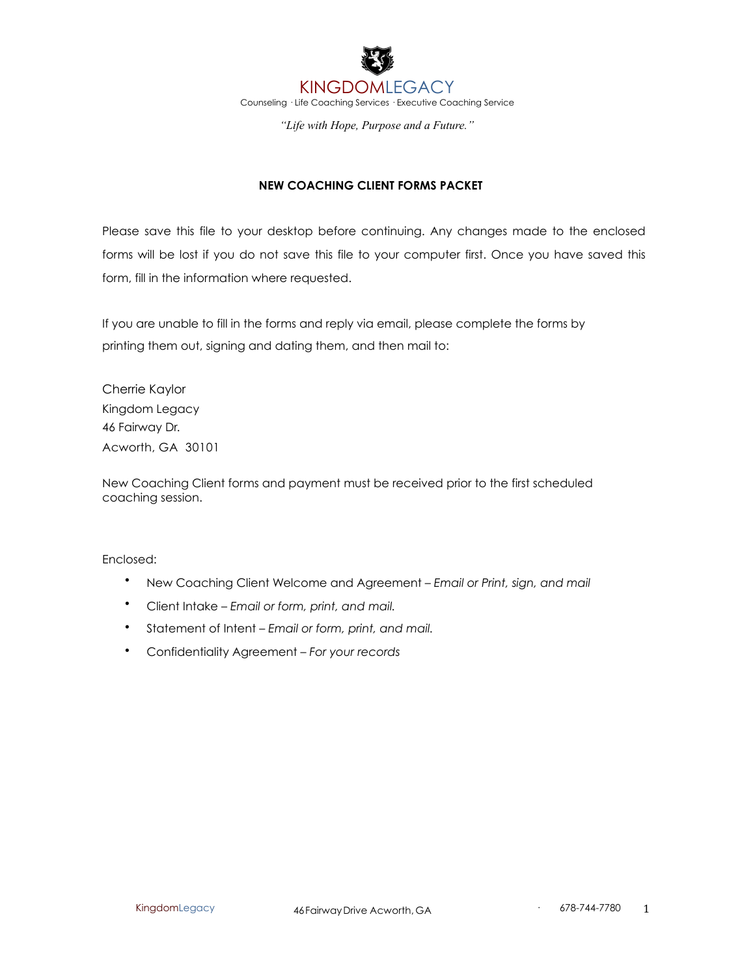

# **NEW COACHING CLIENT FORMS PACKET**

Please save this file to your desktop before continuing. Any changes made to the enclosed forms will be lost if you do not save this file to your computer first. Once you have saved this form, fill in the information where requested.

If you are unable to fill in the forms and reply via email, please complete the forms by printing them out, signing and dating them, and then mail to:

Cherrie Kaylor Kingdom Legacy 46 Fairway Dr. Acworth, GA 30101

New Coaching Client forms and payment must be received prior to the first scheduled coaching session.

Enclosed:

- New Coaching Client Welcome and Agreement *Email or Print, sign, and mail*
- Client Intake *Email or form, print, and mail.*
- Statement of Intent *Email or form, print, and mail.*
- Confidentiality Agreement *For your records*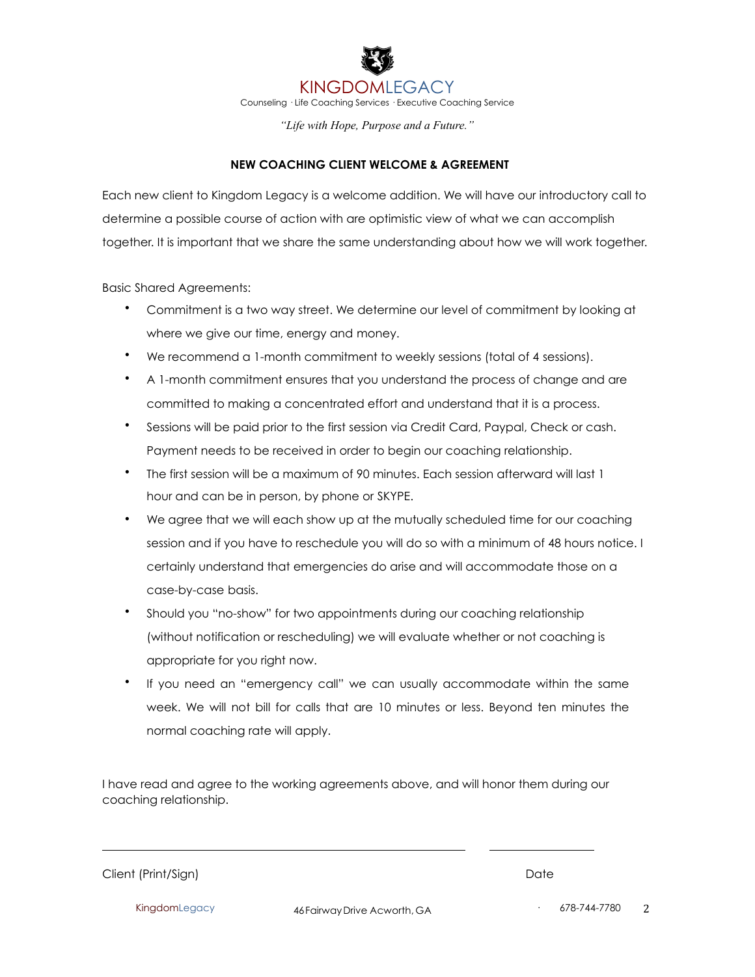KINGDOMLEGACY Counseling · Life Coaching Services · Executive Coaching Service

*"Life with Hope, Purpose and a Future."*

# **NEW COACHING CLIENT WELCOME & AGREEMENT**

Each new client to Kingdom Legacy is a welcome addition. We will have our introductory call to determine a possible course of action with are optimistic view of what we can accomplish together. It is important that we share the same understanding about how we will work together.

Basic Shared Agreements:

- Commitment is a two way street. We determine our level of commitment by looking at where we give our time, energy and money.
- We recommend a 1-month commitment to weekly sessions (total of 4 sessions).
- A 1-month commitment ensures that you understand the process of change and are committed to making a concentrated effort and understand that it is a process.
- Sessions will be paid prior to the first session via Credit Card, Paypal, Check or cash. Payment needs to be received in order to begin our coaching relationship.
- The first session will be a maximum of 90 minutes. Each session afterward will last 1 hour and can be in person, by phone or SKYPE.
- We agree that we will each show up at the mutually scheduled time for our coaching session and if you have to reschedule you will do so with a minimum of 48 hours notice. I certainly understand that emergencies do arise and will accommodate those on a case-by-case basis.
- Should you "no-show" for two appointments during our coaching relationship (without notification or rescheduling) we will evaluate whether or not coaching is appropriate for you right now.
- If you need an "emergency call" we can usually accommodate within the same week. We will not bill for calls that are 10 minutes or less. Beyond ten minutes the normal coaching rate will apply.

I have read and agree to the working agreements above, and will honor them during our coaching relationship.

Client (Print/Sign) Date

KingdomLegacy **46FairwayDrive Acworth, GA** 678-744-7780 2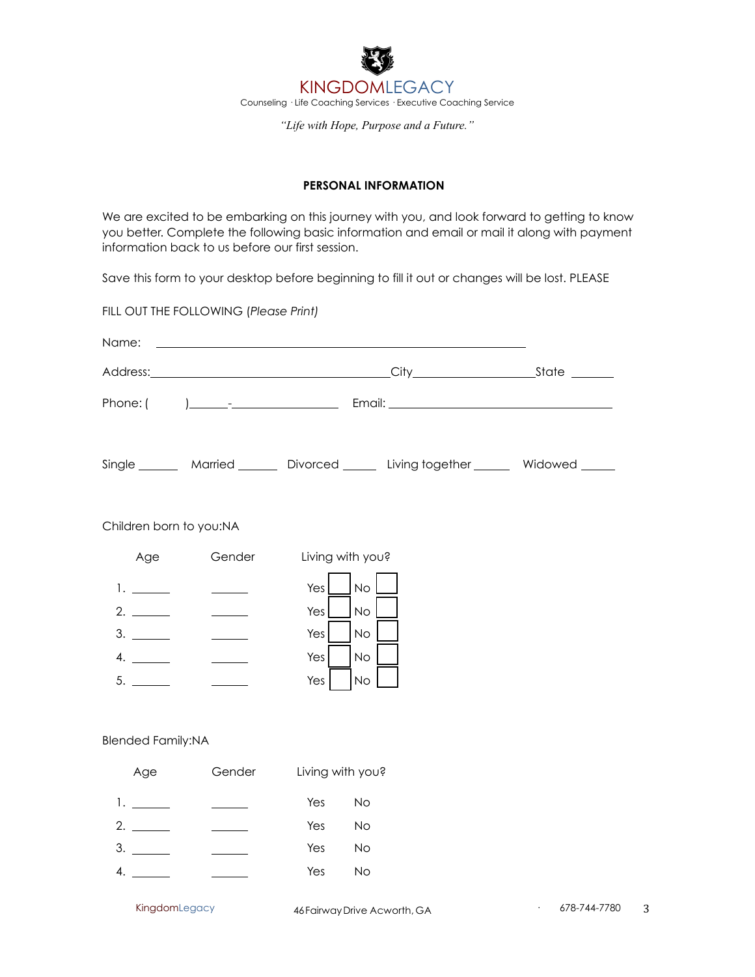

# **PERSONAL INFORMATION**

We are excited to be embarking on this journey with you, and look forward to getting to know you better. Complete the following basic information and email or mail it along with payment information back to us before our first session.

Save this form to your desktop before beginning to fill it out or changes will be lost. PLEASE

FILL OUT THE FOLLOWING (*Please Print)* 

| Name:                    |                                                                                                                        |                                                                                                  |                                                                                          |  |  |  |  |
|--------------------------|------------------------------------------------------------------------------------------------------------------------|--------------------------------------------------------------------------------------------------|------------------------------------------------------------------------------------------|--|--|--|--|
|                          |                                                                                                                        |                                                                                                  |                                                                                          |  |  |  |  |
|                          |                                                                                                                        |                                                                                                  |                                                                                          |  |  |  |  |
|                          |                                                                                                                        |                                                                                                  | Single ________ Married ________ Divorced _______ Living together _______ Widowed ______ |  |  |  |  |
| Children born to you:NA  |                                                                                                                        |                                                                                                  |                                                                                          |  |  |  |  |
| Age                      | Gender                                                                                                                 | Living with you?                                                                                 |                                                                                          |  |  |  |  |
| 3.<br>4.                 | $\overline{\phantom{a}}$<br>$\mathcal{L}^{\mathcal{L}}$<br>$\frac{1}{2}$ and $\frac{1}{2}$<br>$\overline{\phantom{a}}$ | <b>No</b><br>Yes<br>Yes<br><b>No</b><br><b>No</b><br>Yes<br>Yes<br><b>No</b><br><b>No</b><br>Yes |                                                                                          |  |  |  |  |
| <b>Blended Family:NA</b> |                                                                                                                        |                                                                                                  |                                                                                          |  |  |  |  |
| Age                      | Gender                                                                                                                 | Living with you?                                                                                 |                                                                                          |  |  |  |  |
|                          | $\frac{1}{1}$                                                                                                          | Yes<br>No                                                                                        |                                                                                          |  |  |  |  |
|                          |                                                                                                                        | Yes<br><b>No</b>                                                                                 |                                                                                          |  |  |  |  |

 $3.$ 4.

KingdomLegacy **46FairwayDrive Acworth, GA** 678-744-7780 3

Yes No

Yes No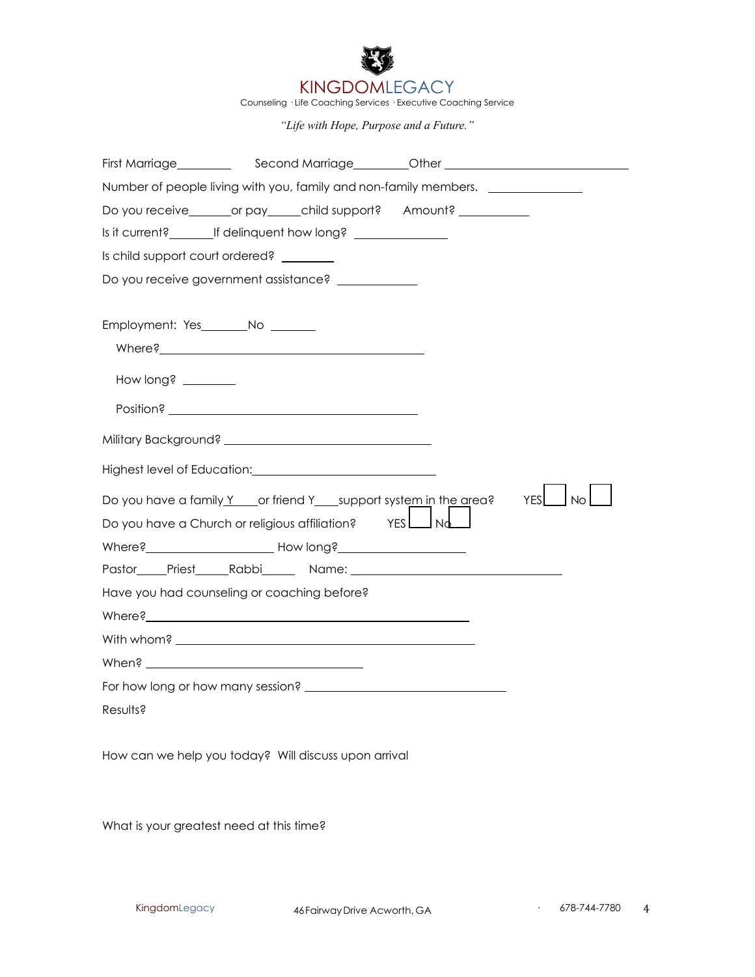

Counseling · Life Coaching Services · Executive Coaching Service

*"Life with Hope, Purpose and a Future."*

| First Marriage_________                                                                                                                                                  |  |
|--------------------------------------------------------------------------------------------------------------------------------------------------------------------------|--|
| Number of people living with you, family and non-family members.                                                                                                         |  |
| Do you receive________or pay_____child support? Amount? ________________________                                                                                         |  |
| Is it current?_____________If delinquent how long? _____________________________                                                                                         |  |
| Is child support court ordered?                                                                                                                                          |  |
| Do you receive government assistance?                                                                                                                                    |  |
| Employment: Yes________No _______<br>How long? ________                                                                                                                  |  |
|                                                                                                                                                                          |  |
|                                                                                                                                                                          |  |
| $\overline{\phantom{a}}$ No<br>YES<br>Do you have a family Y cor friend Y support system in the area?<br>Do you have a Church or religious affiliation?<br>YES $\Box$ Nd |  |
| Have you had counseling or coaching before?                                                                                                                              |  |
|                                                                                                                                                                          |  |
|                                                                                                                                                                          |  |
|                                                                                                                                                                          |  |
|                                                                                                                                                                          |  |
| Results?                                                                                                                                                                 |  |

How can we help you today? Will discuss upon arrival

What is your greatest need at this time?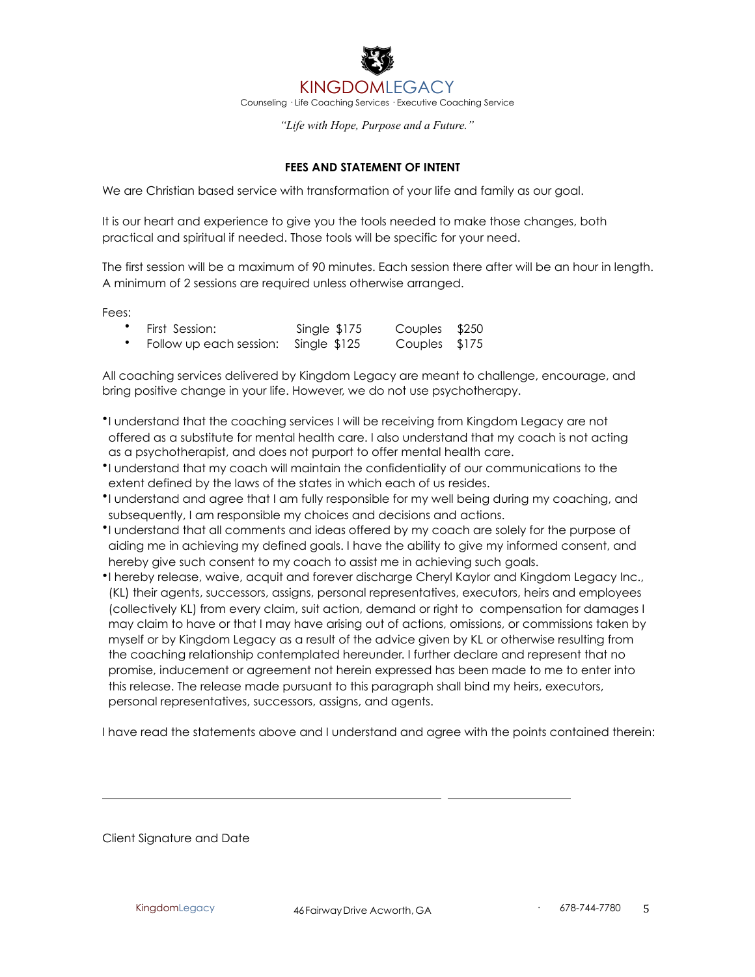

### **FEES AND STATEMENT OF INTENT**

We are Christian based service with transformation of your life and family as our goal.

It is our heart and experience to give you the tools needed to make those changes, both practical and spiritual if needed. Those tools will be specific for your need.

The first session will be a maximum of 90 minutes. Each session there after will be an hour in length. A minimum of 2 sessions are required unless otherwise arranged.

Fees:

| First Session:                       | Single $$175$ | Couples \$250 |  |
|--------------------------------------|---------------|---------------|--|
| Follow up each session: Single \$125 |               | Couples \$175 |  |

All coaching services delivered by Kingdom Legacy are meant to challenge, encourage, and bring positive change in your life. However, we do not use psychotherapy.

- •I understand that the coaching services I will be receiving from Kingdom Legacy are not offered as a substitute for mental health care. I also understand that my coach is not acting as a psychotherapist, and does not purport to offer mental health care.
- •I understand that my coach will maintain the confidentiality of our communications to the extent defined by the laws of the states in which each of us resides.
- •I understand and agree that I am fully responsible for my well being during my coaching, and subsequently, I am responsible my choices and decisions and actions.
- •I understand that all comments and ideas offered by my coach are solely for the purpose of aiding me in achieving my defined goals. I have the ability to give my informed consent, and hereby give such consent to my coach to assist me in achieving such goals.
- •I hereby release, waive, acquit and forever discharge Cheryl Kaylor and Kingdom Legacy Inc., (KL) their agents, successors, assigns, personal representatives, executors, heirs and employees (collectively KL) from every claim, suit action, demand or right to compensation for damages I may claim to have or that I may have arising out of actions, omissions, or commissions taken by myself or by Kingdom Legacy as a result of the advice given by KL or otherwise resulting from the coaching relationship contemplated hereunder. I further declare and represent that no promise, inducement or agreement not herein expressed has been made to me to enter into this release. The release made pursuant to this paragraph shall bind my heirs, executors, personal representatives, successors, assigns, and agents.

I have read the statements above and I understand and agree with the points contained therein:

Client Signature and Date